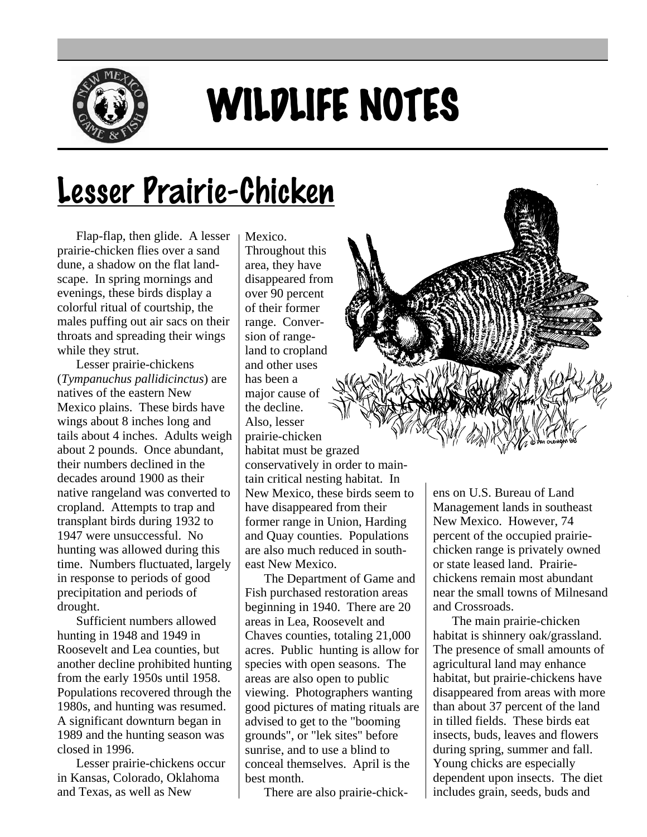

## WILDLIFE NOTES

## Lesser Prairie-Chicken

Flap-flap, then glide. A lesser prairie-chicken flies over a sand dune, a shadow on the flat landscape. In spring mornings and evenings, these birds display a colorful ritual of courtship, the males puffing out air sacs on their throats and spreading their wings while they strut.

Lesser prairie-chickens (*Tympanuchus pallidicinctus*) are natives of the eastern New Mexico plains. These birds have wings about 8 inches long and tails about 4 inches. Adults weigh about 2 pounds. Once abundant, their numbers declined in the decades around 1900 as their native rangeland was converted to cropland. Attempts to trap and transplant birds during 1932 to 1947 were unsuccessful. No hunting was allowed during this time. Numbers fluctuated, largely in response to periods of good precipitation and periods of drought.

Sufficient numbers allowed hunting in 1948 and 1949 in Roosevelt and Lea counties, but another decline prohibited hunting from the early 1950s until 1958. Populations recovered through the 1980s, and hunting was resumed. A significant downturn began in 1989 and the hunting season was closed in 1996.

Lesser prairie-chickens occur in Kansas, Colorado, Oklahoma and Texas, as well as New

Mexico. Throughout this area, they have disappeared from over 90 percent of their former range. Conversion of rangeland to cropland and other uses has been a major cause of the decline. Also, lesser prairie-chicken habitat must be grazed conservatively in order to maintain critical nesting habitat. In New Mexico, these birds seem to have disappeared from their former range in Union, Harding and Quay counties. Populations are also much reduced in southeast New Mexico.

The Department of Game and Fish purchased restoration areas beginning in 1940. There are 20 areas in Lea, Roosevelt and Chaves counties, totaling 21,000 acres. Public hunting is allow for species with open seasons. The areas are also open to public viewing. Photographers wanting good pictures of mating rituals are advised to get to the "booming grounds", or "lek sites" before sunrise, and to use a blind to conceal themselves. April is the best month.

There are also prairie-chick-



ens on U.S. Bureau of Land Management lands in southeast New Mexico. However, 74 percent of the occupied prairiechicken range is privately owned or state leased land. Prairiechickens remain most abundant near the small towns of Milnesand and Crossroads.

The main prairie-chicken habitat is shinnery oak/grassland. The presence of small amounts of agricultural land may enhance habitat, but prairie-chickens have disappeared from areas with more than about 37 percent of the land in tilled fields. These birds eat insects, buds, leaves and flowers during spring, summer and fall. Young chicks are especially dependent upon insects. The diet includes grain, seeds, buds and